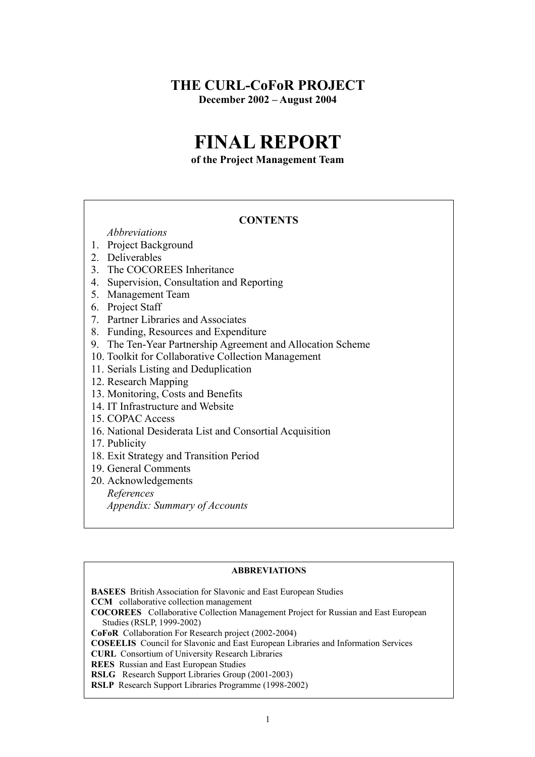# **THE CURL-CoFoR PROJECT December 2002 – August 2004**

# **FINAL REPORT**

**of the Project Management Team**

### **CONTENTS**

 *Abbreviations*

- 1. Project Background
- 2. Deliverables
- 3. The COCOREES Inheritance
- 4. Supervision, Consultation and Reporting
- 5. Management Team
- 6. Project Staff
- 7. Partner Libraries and Associates
- 8. Funding, Resources and Expenditure
- 9. The Ten-Year Partnership Agreement and Allocation Scheme
- 10. Toolkit for Collaborative Collection Management
- 11. Serials Listing and Deduplication
- 12. Research Mapping
- 13. Monitoring, Costs and Benefits
- 14. IT Infrastructure and Website
- 15. COPAC Access
- 16. National Desiderata List and Consortial Acquisition
- 17. Publicity
- 18. Exit Strategy and Transition Period
- 19. General Comments
- 20. Acknowledgements

*References*

 *Appendix: Summary of Accounts*

#### **ABBREVIATIONS**

**BASEES** British Association for Slavonic and East European Studies **CCM** collaborative collection management **COCOREES** Collaborative Collection Management Project for Russian and East European Studies (RSLP, 1999-2002) **CoFoR** Collaboration For Research project (2002-2004) **COSEELIS** Council for Slavonic and East European Libraries and Information Services **CURL** Consortium of University Research Libraries **REES** Russian and East European Studies **RSLG** Research Support Libraries Group (2001-2003) **RSLP** Research Support Libraries Programme (1998-2002)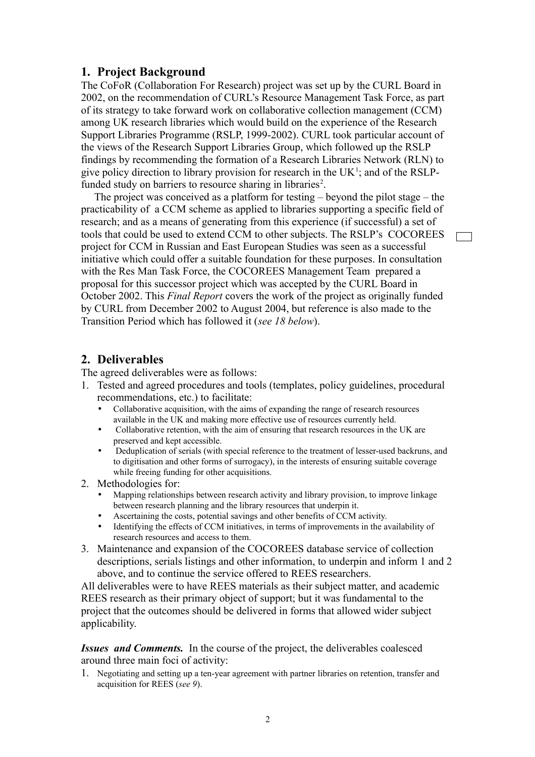### **1. Project Background**

The CoFoR (Collaboration For Research) project was set up by the CURL Board in 2002, on the recommendation of CURL's Resource Management Task Force, as part of its strategy to take forward work on collaborative collection management (CCM) among UK research libraries which would build on the experience of the Research Support Libraries Programme (RSLP, 1999-2002). CURL took particular account of the views of the Research Support Libraries Group, which followed up the RSLP findings by recommending the formation of a Research Libraries Network (RLN) to give policy direction to library provision for research in the  $UK<sup>1</sup>$ ; and of the RSLPfunded study on barriers to resource sharing in libraries<sup>2</sup>.

 The project was conceived as a platform for testing – beyond the pilot stage – the practicability of a CCM scheme as applied to libraries supporting a specific field of research; and as a means of generating from this experience (if successful) a set of tools that could be used to extend CCM to other subjects. The RSLP's COCOREES project for CCM in Russian and East European Studies was seen as a successful initiative which could offer a suitable foundation for these purposes. In consultation with the Res Man Task Force, the COCOREES Management Team prepared a proposal for this successor project which was accepted by the CURL Board in October 2002. This *Final Report* covers the work of the project as originally funded by CURL from December 2002 to August 2004, but reference is also made to the Transition Period which has followed it (*see 18 below*).

# **2. Deliverables**

The agreed deliverables were as follows:

- 1. Tested and agreed procedures and tools (templates, policy guidelines, procedural recommendations, etc.) to facilitate:
	- Collaborative acquisition, with the aims of expanding the range of research resources available in the UK and making more effective use of resources currently held.
	- Collaborative retention, with the aim of ensuring that research resources in the UK are preserved and kept accessible.
	- Deduplication of serials (with special reference to the treatment of lesser-used backruns, and to digitisation and other forms of surrogacy), in the interests of ensuring suitable coverage while freeing funding for other acquisitions.
- 2. Methodologies for:
	- Mapping relationships between research activity and library provision, to improve linkage between research planning and the library resources that underpin it.
	- Ascertaining the costs, potential savings and other benefits of CCM activity.
	- Identifying the effects of CCM initiatives, in terms of improvements in the availability of research resources and access to them.
- 3. Maintenance and expansion of the COCOREES database service of collection descriptions, serials listings and other information, to underpin and inform 1 and 2 above, and to continue the service offered to REES researchers.

All deliverables were to have REES materials as their subject matter, and academic REES research as their primary object of support; but it was fundamental to the project that the outcomes should be delivered in forms that allowed wider subject applicability.

*Issues and Comments.* In the course of the project, the deliverables coalesced around three main foci of activity:

1. Negotiating and setting up a ten-year agreement with partner libraries on retention, transfer and acquisition for REES (*see 9*).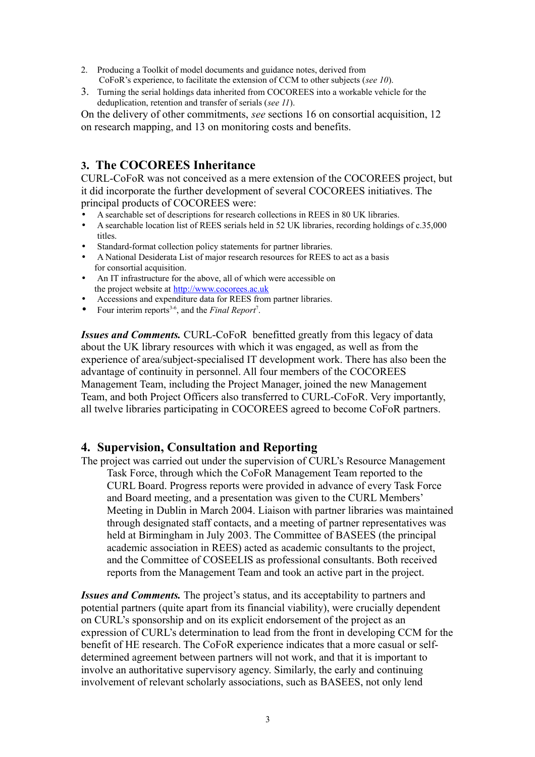- 2. Producing a Toolkit of model documents and guidance notes, derived from CoFoR's experience, to facilitate the extension of CCM to other subjects (*see 10*).
- 3. Turning the serial holdings data inherited from COCOREES into a workable vehicle for the deduplication, retention and transfer of serials (*see 11*).

On the delivery of other commitments, *see* sections 16 on consortial acquisition, 12 on research mapping, and 13 on monitoring costs and benefits.

# **3. The COCOREES Inheritance**

CURL-CoFoR was not conceived as a mere extension of the COCOREES project, but it did incorporate the further development of several COCOREES initiatives. The principal products of COCOREES were:

- A searchable set of descriptions for research collections in REES in 80 UK libraries.
- A searchable location list of REES serials held in 52 UK libraries, recording holdings of c.35,000 titles.
- Standard-format collection policy statements for partner libraries.
- A National Desiderata List of major research resources for REES to act as a basis for consortial acquisition.
- An IT infrastructure for the above, all of which were accessible on the project website at [http://www.cocorees.ac.uk](http://www.cocorees.ac.uk/)
- Accessions and expenditure data for REES from partner libraries.
- Four interim reports<sup>3-6</sup>, and the *Final Report<sup>7</sup>*.

*Issues and Comments.* CURL-CoFoR benefitted greatly from this legacy of data about the UK library resources with which it was engaged, as well as from the experience of area/subject-specialised IT development work. There has also been the advantage of continuity in personnel. All four members of the COCOREES Management Team, including the Project Manager, joined the new Management Team, and both Project Officers also transferred to CURL-CoFoR. Very importantly, all twelve libraries participating in COCOREES agreed to become CoFoR partners.

# **4. Supervision, Consultation and Reporting**

The project was carried out under the supervision of CURL's Resource Management Task Force, through which the CoFoR Management Team reported to the CURL Board. Progress reports were provided in advance of every Task Force and Board meeting, and a presentation was given to the CURL Members' Meeting in Dublin in March 2004. Liaison with partner libraries was maintained through designated staff contacts, and a meeting of partner representatives was held at Birmingham in July 2003. The Committee of BASEES (the principal academic association in REES) acted as academic consultants to the project, and the Committee of COSEELIS as professional consultants. Both received reports from the Management Team and took an active part in the project.

*Issues and Comments.* The project's status, and its acceptability to partners and potential partners (quite apart from its financial viability), were crucially dependent on CURL's sponsorship and on its explicit endorsement of the project as an expression of CURL's determination to lead from the front in developing CCM for the benefit of HE research. The CoFoR experience indicates that a more casual or selfdetermined agreement between partners will not work, and that it is important to involve an authoritative supervisory agency. Similarly, the early and continuing involvement of relevant scholarly associations, such as BASEES, not only lend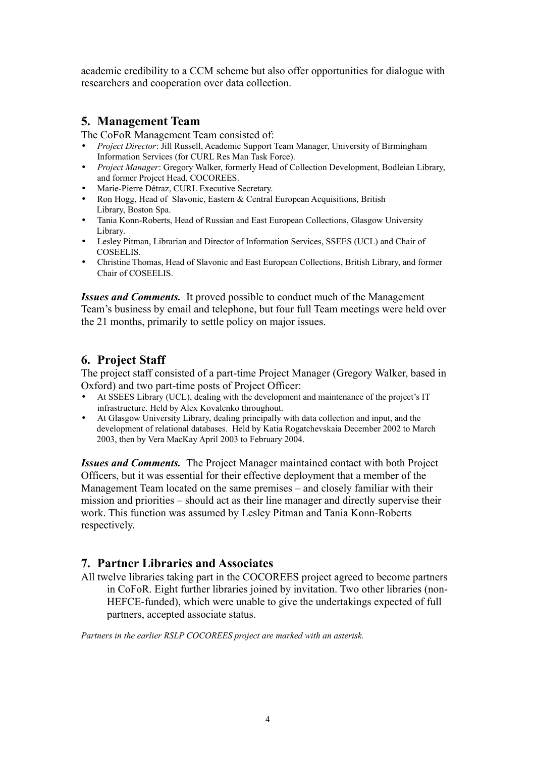academic credibility to a CCM scheme but also offer opportunities for dialogue with researchers and cooperation over data collection.

# **5. Management Team**

The CoFoR Management Team consisted of:

- *Project Director*: Jill Russell, Academic Support Team Manager, University of Birmingham Information Services (for CURL Res Man Task Force).
- *Project Manager*: Gregory Walker, formerly Head of Collection Development, Bodleian Library, and former Project Head, COCOREES.
- Marie-Pierre Détraz, CURL Executive Secretary.
- Ron Hogg, Head of Slavonic, Eastern & Central European Acquisitions, British Library, Boston Spa.
- Tania Konn-Roberts, Head of Russian and East European Collections, Glasgow University Library.
- Lesley Pitman, Librarian and Director of Information Services, SSEES (UCL) and Chair of COSEELIS.
- Christine Thomas, Head of Slavonic and East European Collections, British Library, and former Chair of COSEELIS.

*Issues and Comments.* It proved possible to conduct much of the Management Team's business by email and telephone, but four full Team meetings were held over the 21 months, primarily to settle policy on major issues.

# **6. Project Staff**

The project staff consisted of a part-time Project Manager (Gregory Walker, based in Oxford) and two part-time posts of Project Officer:

- At SSEES Library (UCL), dealing with the development and maintenance of the project's IT infrastructure. Held by Alex Kovalenko throughout.
- At Glasgow University Library, dealing principally with data collection and input, and the development of relational databases. Held by Katia Rogatchevskaia December 2002 to March 2003, then by Vera MacKay April 2003 to February 2004.

*Issues and Comments.* The Project Manager maintained contact with both Project Officers, but it was essential for their effective deployment that a member of the Management Team located on the same premises – and closely familiar with their mission and priorities – should act as their line manager and directly supervise their work. This function was assumed by Lesley Pitman and Tania Konn-Roberts respectively.

# **7. Partner Libraries and Associates**

All twelve libraries taking part in the COCOREES project agreed to become partners in CoFoR. Eight further libraries joined by invitation. Two other libraries (non-HEFCE-funded), which were unable to give the undertakings expected of full partners, accepted associate status.

*Partners in the earlier RSLP COCOREES project are marked with an asterisk.*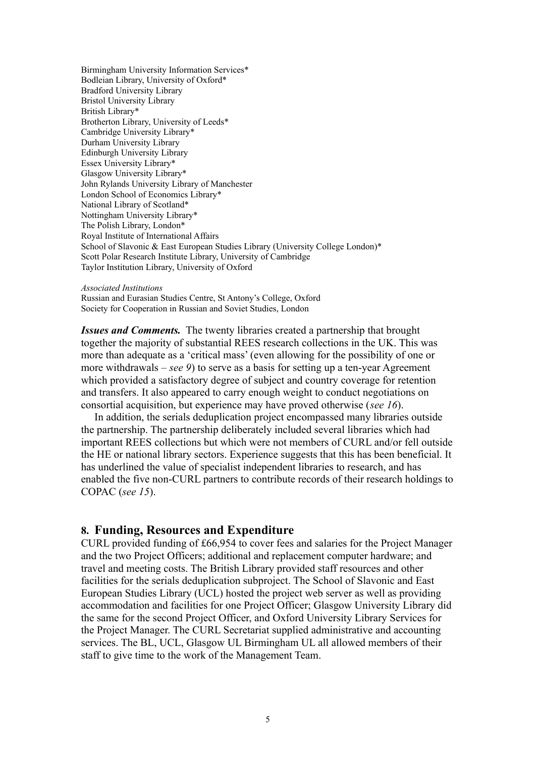Birmingham University Information Services\* Bodleian Library, University of Oxford\* Bradford University Library Bristol University Library British Library\* Brotherton Library, University of Leeds\* Cambridge University Library\* Durham University Library Edinburgh University Library Essex University Library\* Glasgow University Library\* John Rylands University Library of Manchester London School of Economics Library\* National Library of Scotland\* Nottingham University Library\* The Polish Library, London\* Royal Institute of International Affairs School of Slavonic & East European Studies Library (University College London)\* Scott Polar Research Institute Library, University of Cambridge Taylor Institution Library, University of Oxford

*Associated Institutions*

Russian and Eurasian Studies Centre, St Antony's College, Oxford Society for Cooperation in Russian and Soviet Studies, London

*Issues and Comments.* The twenty libraries created a partnership that brought together the majority of substantial REES research collections in the UK. This was more than adequate as a 'critical mass' (even allowing for the possibility of one or more withdrawals – *see 9*) to serve as a basis for setting up a ten-year Agreement which provided a satisfactory degree of subject and country coverage for retention and transfers. It also appeared to carry enough weight to conduct negotiations on consortial acquisition, but experience may have proved otherwise (*see 16*).

 In addition, the serials deduplication project encompassed many libraries outside the partnership. The partnership deliberately included several libraries which had important REES collections but which were not members of CURL and/or fell outside the HE or national library sectors. Experience suggests that this has been beneficial. It has underlined the value of specialist independent libraries to research, and has enabled the five non-CURL partners to contribute records of their research holdings to COPAC (*see 15*).

#### **8. Funding, Resources and Expenditure**

CURL provided funding of £66,954 to cover fees and salaries for the Project Manager and the two Project Officers; additional and replacement computer hardware; and travel and meeting costs. The British Library provided staff resources and other facilities for the serials deduplication subproject. The School of Slavonic and East European Studies Library (UCL) hosted the project web server as well as providing accommodation and facilities for one Project Officer; Glasgow University Library did the same for the second Project Officer, and Oxford University Library Services for the Project Manager. The CURL Secretariat supplied administrative and accounting services. The BL, UCL, Glasgow UL Birmingham UL all allowed members of their staff to give time to the work of the Management Team.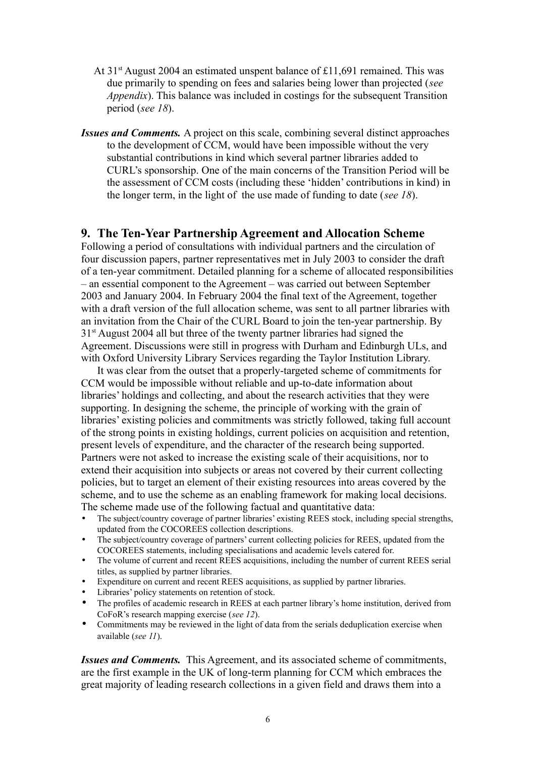- At  $31<sup>st</sup>$  August 2004 an estimated unspent balance of £11,691 remained. This was due primarily to spending on fees and salaries being lower than projected (*see Appendix*). This balance was included in costings for the subsequent Transition period (*see 18*).
- *Issues and Comments.* A project on this scale, combining several distinct approaches to the development of CCM, would have been impossible without the very substantial contributions in kind which several partner libraries added to CURL's sponsorship. One of the main concerns of the Transition Period will be the assessment of CCM costs (including these 'hidden' contributions in kind) in the longer term, in the light of the use made of funding to date (*see 18*).

### **9. The Ten-Year Partnership Agreement and Allocation Scheme**

Following a period of consultations with individual partners and the circulation of four discussion papers, partner representatives met in July 2003 to consider the draft of a ten-year commitment. Detailed planning for a scheme of allocated responsibilities – an essential component to the Agreement – was carried out between September 2003 and January 2004. In February 2004 the final text of the Agreement, together with a draft version of the full allocation scheme, was sent to all partner libraries with an invitation from the Chair of the CURL Board to join the ten-year partnership. By 31st August 2004 all but three of the twenty partner libraries had signed the Agreement. Discussions were still in progress with Durham and Edinburgh ULs, and with Oxford University Library Services regarding the Taylor Institution Library.

 It was clear from the outset that a properly-targeted scheme of commitments for CCM would be impossible without reliable and up-to-date information about libraries' holdings and collecting, and about the research activities that they were supporting. In designing the scheme, the principle of working with the grain of libraries' existing policies and commitments was strictly followed, taking full account of the strong points in existing holdings, current policies on acquisition and retention, present levels of expenditure, and the character of the research being supported. Partners were not asked to increase the existing scale of their acquisitions, nor to extend their acquisition into subjects or areas not covered by their current collecting policies, but to target an element of their existing resources into areas covered by the scheme, and to use the scheme as an enabling framework for making local decisions. The scheme made use of the following factual and quantitative data:

- The subject/country coverage of partner libraries' existing REES stock, including special strengths, updated from the COCOREES collection descriptions.
- The subject/country coverage of partners' current collecting policies for REES, updated from the COCOREES statements, including specialisations and academic levels catered for.
- The volume of current and recent REES acquisitions, including the number of current REES serial titles, as supplied by partner libraries.
- Expenditure on current and recent REES acquisitions, as supplied by partner libraries.
- Libraries' policy statements on retention of stock.
- The profiles of academic research in REES at each partner library's home institution, derived from CoFoR's research mapping exercise (*see 12*).
- Commitments may be reviewed in the light of data from the serials deduplication exercise when available (*see 11*).

*Issues and Comments.* This Agreement, and its associated scheme of commitments, are the first example in the UK of long-term planning for CCM which embraces the great majority of leading research collections in a given field and draws them into a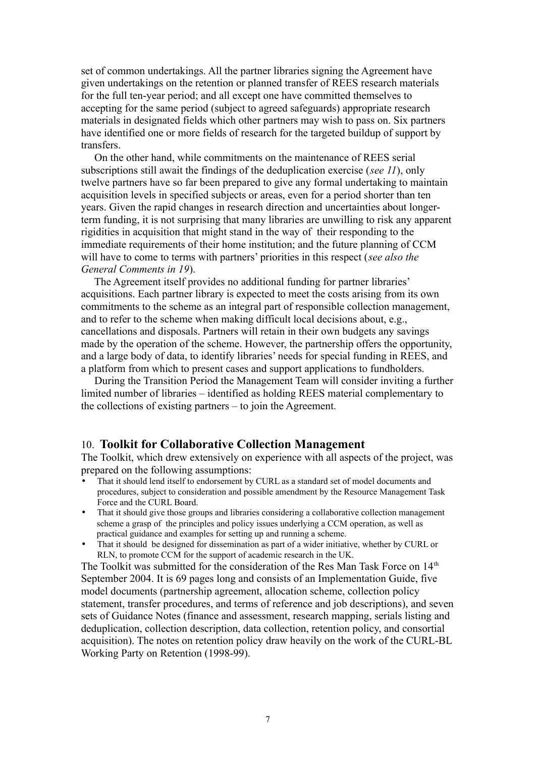set of common undertakings. All the partner libraries signing the Agreement have given undertakings on the retention or planned transfer of REES research materials for the full ten-year period; and all except one have committed themselves to accepting for the same period (subject to agreed safeguards) appropriate research materials in designated fields which other partners may wish to pass on. Six partners have identified one or more fields of research for the targeted buildup of support by transfers.

 On the other hand, while commitments on the maintenance of REES serial subscriptions still await the findings of the deduplication exercise (*see 11*), only twelve partners have so far been prepared to give any formal undertaking to maintain acquisition levels in specified subjects or areas, even for a period shorter than ten years. Given the rapid changes in research direction and uncertainties about longerterm funding, it is not surprising that many libraries are unwilling to risk any apparent rigidities in acquisition that might stand in the way of their responding to the immediate requirements of their home institution; and the future planning of CCM will have to come to terms with partners' priorities in this respect (*see also the General Comments in 19*).

 The Agreement itself provides no additional funding for partner libraries' acquisitions. Each partner library is expected to meet the costs arising from its own commitments to the scheme as an integral part of responsible collection management, and to refer to the scheme when making difficult local decisions about, e.g., cancellations and disposals. Partners will retain in their own budgets any savings made by the operation of the scheme. However, the partnership offers the opportunity, and a large body of data, to identify libraries' needs for special funding in REES, and a platform from which to present cases and support applications to fundholders.

 During the Transition Period the Management Team will consider inviting a further limited number of libraries – identified as holding REES material complementary to the collections of existing partners – to join the Agreement.

#### 10. **Toolkit for Collaborative Collection Management**

The Toolkit, which drew extensively on experience with all aspects of the project, was prepared on the following assumptions:

- That it should lend itself to endorsement by CURL as a standard set of model documents and procedures, subject to consideration and possible amendment by the Resource Management Task Force and the CURL Board.
- That it should give those groups and libraries considering a collaborative collection management scheme a grasp of the principles and policy issues underlying a CCM operation, as well as practical guidance and examples for setting up and running a scheme.
- That it should be designed for dissemination as part of a wider initiative, whether by CURL or RLN, to promote CCM for the support of academic research in the UK.

The Toolkit was submitted for the consideration of the Res Man Task Force on 14<sup>th</sup> September 2004. It is 69 pages long and consists of an Implementation Guide, five model documents (partnership agreement, allocation scheme, collection policy statement, transfer procedures, and terms of reference and job descriptions), and seven sets of Guidance Notes (finance and assessment, research mapping, serials listing and deduplication, collection description, data collection, retention policy, and consortial acquisition). The notes on retention policy draw heavily on the work of the CURL-BL Working Party on Retention (1998-99).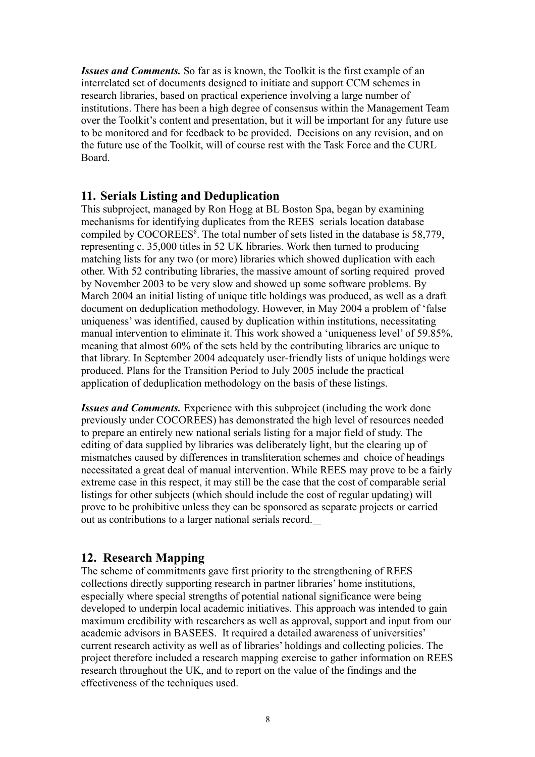*Issues and Comments.* So far as is known, the Toolkit is the first example of an interrelated set of documents designed to initiate and support CCM schemes in research libraries, based on practical experience involving a large number of institutions. There has been a high degree of consensus within the Management Team over the Toolkit's content and presentation, but it will be important for any future use to be monitored and for feedback to be provided. Decisions on any revision, and on the future use of the Toolkit, will of course rest with the Task Force and the CURL Board.

### **11. Serials Listing and Deduplication**

This subproject, managed by Ron Hogg at BL Boston Spa, began by examining mechanisms for identifying duplicates from the REES serials location database compiled by COCOREES<sup>8</sup>. The total number of sets listed in the database is 58,779, representing c. 35,000 titles in 52 UK libraries. Work then turned to producing matching lists for any two (or more) libraries which showed duplication with each other. With 52 contributing libraries, the massive amount of sorting required proved by November 2003 to be very slow and showed up some software problems. By March 2004 an initial listing of unique title holdings was produced, as well as a draft document on deduplication methodology. However, in May 2004 a problem of 'false uniqueness' was identified, caused by duplication within institutions, necessitating manual intervention to eliminate it. This work showed a 'uniqueness level' of 59.85%, meaning that almost 60% of the sets held by the contributing libraries are unique to that library. In September 2004 adequately user-friendly lists of unique holdings were produced. Plans for the Transition Period to July 2005 include the practical application of deduplication methodology on the basis of these listings.

*Issues and Comments.* Experience with this subproject (including the work done previously under COCOREES) has demonstrated the high level of resources needed to prepare an entirely new national serials listing for a major field of study. The editing of data supplied by libraries was deliberately light, but the clearing up of mismatches caused by differences in transliteration schemes and choice of headings necessitated a great deal of manual intervention. While REES may prove to be a fairly extreme case in this respect, it may still be the case that the cost of comparable serial listings for other subjects (which should include the cost of regular updating) will prove to be prohibitive unless they can be sponsored as separate projects or carried out as contributions to a larger national serials record.

# **12. Research Mapping**

The scheme of commitments gave first priority to the strengthening of REES collections directly supporting research in partner libraries' home institutions, especially where special strengths of potential national significance were being developed to underpin local academic initiatives. This approach was intended to gain maximum credibility with researchers as well as approval, support and input from our academic advisors in BASEES. It required a detailed awareness of universities' current research activity as well as of libraries' holdings and collecting policies. The project therefore included a research mapping exercise to gather information on REES research throughout the UK, and to report on the value of the findings and the effectiveness of the techniques used.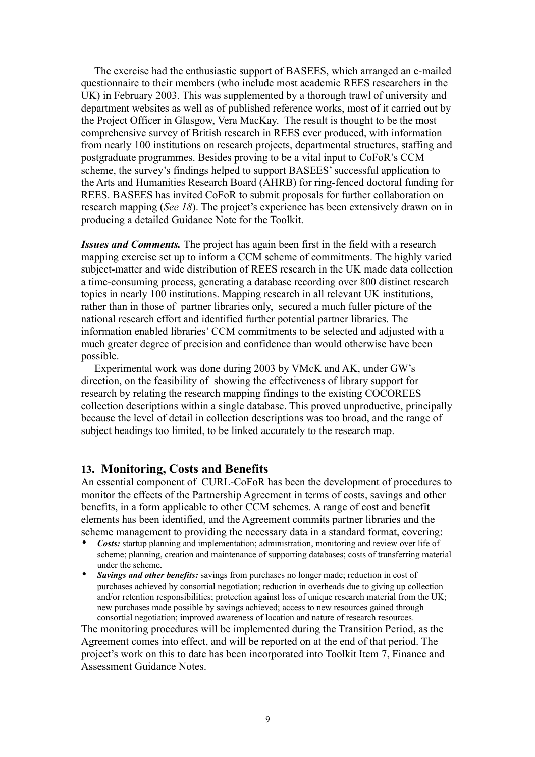The exercise had the enthusiastic support of BASEES, which arranged an e-mailed questionnaire to their members (who include most academic REES researchers in the UK) in February 2003. This was supplemented by a thorough trawl of university and department websites as well as of published reference works, most of it carried out by the Project Officer in Glasgow, Vera MacKay. The result is thought to be the most comprehensive survey of British research in REES ever produced, with information from nearly 100 institutions on research projects, departmental structures, staffing and postgraduate programmes. Besides proving to be a vital input to CoFoR's CCM scheme, the survey's findings helped to support BASEES' successful application to the Arts and Humanities Research Board (AHRB) for ring-fenced doctoral funding for REES. BASEES has invited CoFoR to submit proposals for further collaboration on research mapping (*See 18*). The project's experience has been extensively drawn on in producing a detailed Guidance Note for the Toolkit.

*Issues and Comments.* The project has again been first in the field with a research mapping exercise set up to inform a CCM scheme of commitments. The highly varied subject-matter and wide distribution of REES research in the UK made data collection a time-consuming process, generating a database recording over 800 distinct research topics in nearly 100 institutions. Mapping research in all relevant UK institutions, rather than in those of partner libraries only, secured a much fuller picture of the national research effort and identified further potential partner libraries. The information enabled libraries' CCM commitments to be selected and adjusted with a much greater degree of precision and confidence than would otherwise have been possible.

 Experimental work was done during 2003 by VMcK and AK, under GW's direction, on the feasibility of showing the effectiveness of library support for research by relating the research mapping findings to the existing COCOREES collection descriptions within a single database. This proved unproductive, principally because the level of detail in collection descriptions was too broad, and the range of subject headings too limited, to be linked accurately to the research map.

#### **13. Monitoring, Costs and Benefits**

An essential component of CURL-CoFoR has been the development of procedures to monitor the effects of the Partnership Agreement in terms of costs, savings and other benefits, in a form applicable to other CCM schemes. A range of cost and benefit elements has been identified, and the Agreement commits partner libraries and the scheme management to providing the necessary data in a standard format, covering:

- *Costs:* startup planning and implementation; administration, monitoring and review over life of scheme; planning, creation and maintenance of supporting databases; costs of transferring material under the scheme.
- *Savings and other benefits:* savings from purchases no longer made; reduction in cost of purchases achieved by consortial negotiation; reduction in overheads due to giving up collection and/or retention responsibilities; protection against loss of unique research material from the UK; new purchases made possible by savings achieved; access to new resources gained through consortial negotiation; improved awareness of location and nature of research resources.

The monitoring procedures will be implemented during the Transition Period, as the Agreement comes into effect, and will be reported on at the end of that period. The project's work on this to date has been incorporated into Toolkit Item 7, Finance and Assessment Guidance Notes.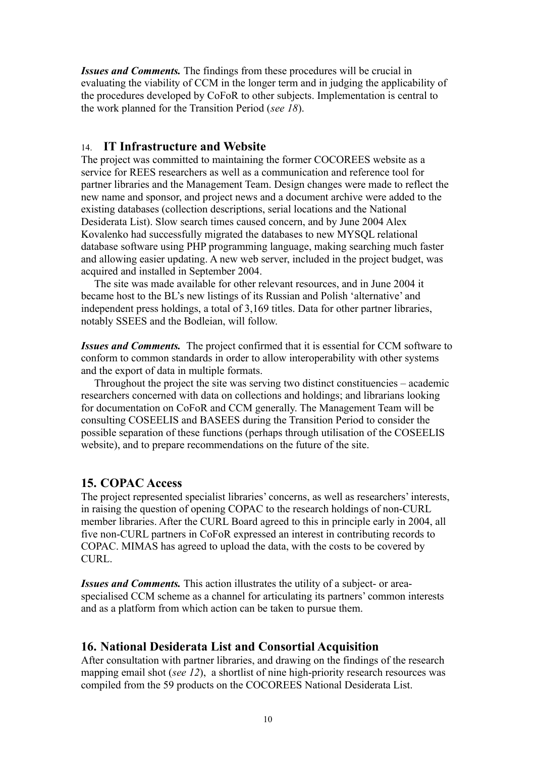*Issues and Comments.* The findings from these procedures will be crucial in evaluating the viability of CCM in the longer term and in judging the applicability of the procedures developed by CoFoR to other subjects. Implementation is central to the work planned for the Transition Period (*see 18*).

### 14. **IT Infrastructure and Website**

The project was committed to maintaining the former COCOREES website as a service for REES researchers as well as a communication and reference tool for partner libraries and the Management Team. Design changes were made to reflect the new name and sponsor, and project news and a document archive were added to the existing databases (collection descriptions, serial locations and the National Desiderata List). Slow search times caused concern, and by June 2004 Alex Kovalenko had successfully migrated the databases to new MYSQL relational database software using PHP programming language, making searching much faster and allowing easier updating. A new web server, included in the project budget, was acquired and installed in September 2004.

 The site was made available for other relevant resources, and in June 2004 it became host to the BL's new listings of its Russian and Polish 'alternative' and independent press holdings, a total of 3,169 titles. Data for other partner libraries, notably SSEES and the Bodleian, will follow.

*Issues and Comments.* The project confirmed that it is essential for CCM software to conform to common standards in order to allow interoperability with other systems and the export of data in multiple formats.

 Throughout the project the site was serving two distinct constituencies – academic researchers concerned with data on collections and holdings; and librarians looking for documentation on CoFoR and CCM generally. The Management Team will be consulting COSEELIS and BASEES during the Transition Period to consider the possible separation of these functions (perhaps through utilisation of the COSEELIS website), and to prepare recommendations on the future of the site.

### **15. COPAC Access**

The project represented specialist libraries' concerns, as well as researchers' interests, in raising the question of opening COPAC to the research holdings of non-CURL member libraries. After the CURL Board agreed to this in principle early in 2004, all five non-CURL partners in CoFoR expressed an interest in contributing records to COPAC. MIMAS has agreed to upload the data, with the costs to be covered by CURL.

*Issues and Comments.* This action illustrates the utility of a subject- or areaspecialised CCM scheme as a channel for articulating its partners' common interests and as a platform from which action can be taken to pursue them.

### **16. National Desiderata List and Consortial Acquisition**

After consultation with partner libraries, and drawing on the findings of the research mapping email shot (*see 12*), a shortlist of nine high-priority research resources was compiled from the 59 products on the COCOREES National Desiderata List.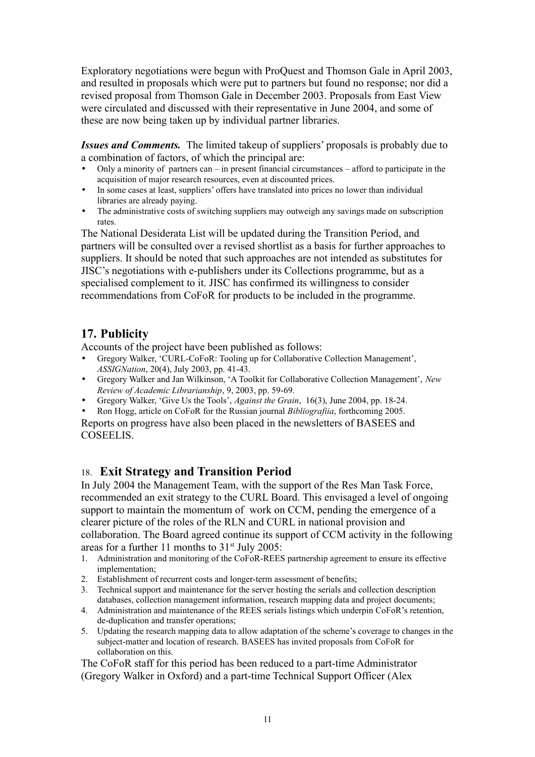Exploratory negotiations were begun with ProQuest and Thomson Gale in April 2003, and resulted in proposals which were put to partners but found no response; nor did a revised proposal from Thomson Gale in December 2003. Proposals from East View were circulated and discussed with their representative in June 2004, and some of these are now being taken up by individual partner libraries.

*Issues and Comments.* The limited takeup of suppliers' proposals is probably due to a combination of factors, of which the principal are:

- Only a minority of partners can in present financial circumstances afford to participate in the acquisition of major research resources, even at discounted prices.
- In some cases at least, suppliers' offers have translated into prices no lower than individual libraries are already paying.
- The administrative costs of switching suppliers may outweigh any savings made on subscription rates.

The National Desiderata List will be updated during the Transition Period, and partners will be consulted over a revised shortlist as a basis for further approaches to suppliers. It should be noted that such approaches are not intended as substitutes for JISC's negotiations with e-publishers under its Collections programme, but as a specialised complement to it. JISC has confirmed its willingness to consider recommendations from CoFoR for products to be included in the programme.

# **17. Publicity**

Accounts of the project have been published as follows:

- Gregory Walker, 'CURL-CoFoR: Tooling up for Collaborative Collection Management', *ASSIGNation*, 20(4), July 2003, pp. 41-43.
- Gregory Walker and Jan Wilkinson, 'A Toolkit for Collaborative Collection Management', *New Review of Academic Librarianship*, 9, 2003, pp. 59-69.
- Gregory Walker, 'Give Us the Tools', *Against the Grain*, 16(3), June 2004, pp. 18-24.
- Ron Hogg, article on CoFoR for the Russian journal *Bibliografiia*, forthcoming 2005.

Reports on progress have also been placed in the newsletters of BASEES and COSEELIS.

# 18. **Exit Strategy and Transition Period**

In July 2004 the Management Team, with the support of the Res Man Task Force, recommended an exit strategy to the CURL Board. This envisaged a level of ongoing support to maintain the momentum of work on CCM, pending the emergence of a clearer picture of the roles of the RLN and CURL in national provision and collaboration. The Board agreed continue its support of CCM activity in the following areas for a further 11 months to  $31<sup>st</sup>$  July 2005:

- 1. Administration and monitoring of the CoFoR-REES partnership agreement to ensure its effective implementation;
- 2. Establishment of recurrent costs and longer-term assessment of benefits;
- 3. Technical support and maintenance for the server hosting the serials and collection description databases, collection management information, research mapping data and project documents;
- 4. Administration and maintenance of the REES serials listings which underpin CoFoR's retention, de-duplication and transfer operations;
- 5. Updating the research mapping data to allow adaptation of the scheme's coverage to changes in the subject-matter and location of research. BASEES has invited proposals from CoFoR for collaboration on this.

The CoFoR staff for this period has been reduced to a part-time Administrator (Gregory Walker in Oxford) and a part-time Technical Support Officer (Alex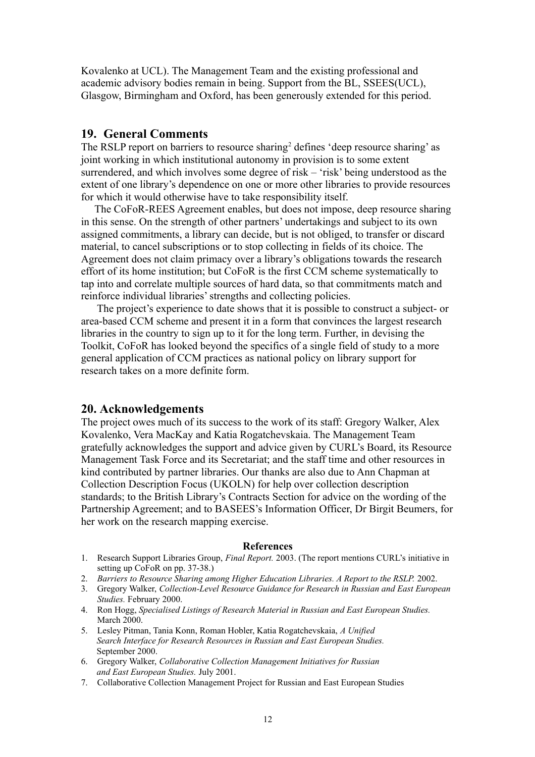Kovalenko at UCL). The Management Team and the existing professional and academic advisory bodies remain in being. Support from the BL, SSEES(UCL), Glasgow, Birmingham and Oxford, has been generously extended for this period.

### **19. General Comments**

The RSLP report on barriers to resource sharing<sup>2</sup> defines 'deep resource sharing' as joint working in which institutional autonomy in provision is to some extent surrendered, and which involves some degree of risk – 'risk' being understood as the extent of one library's dependence on one or more other libraries to provide resources for which it would otherwise have to take responsibility itself.

The CoFoR-REES Agreement enables, but does not impose, deep resource sharing in this sense. On the strength of other partners' undertakings and subject to its own assigned commitments, a library can decide, but is not obliged, to transfer or discard material, to cancel subscriptions or to stop collecting in fields of its choice. The Agreement does not claim primacy over a library's obligations towards the research effort of its home institution; but CoFoR is the first CCM scheme systematically to tap into and correlate multiple sources of hard data, so that commitments match and reinforce individual libraries' strengths and collecting policies.

 The project's experience to date shows that it is possible to construct a subject- or area-based CCM scheme and present it in a form that convinces the largest research libraries in the country to sign up to it for the long term. Further, in devising the Toolkit, CoFoR has looked beyond the specifics of a single field of study to a more general application of CCM practices as national policy on library support for research takes on a more definite form.

### **20. Acknowledgements**

The project owes much of its success to the work of its staff: Gregory Walker, Alex Kovalenko, Vera MacKay and Katia Rogatchevskaia. The Management Team gratefully acknowledges the support and advice given by CURL's Board, its Resource Management Task Force and its Secretariat; and the staff time and other resources in kind contributed by partner libraries. Our thanks are also due to Ann Chapman at Collection Description Focus (UKOLN) for help over collection description standards; to the British Library's Contracts Section for advice on the wording of the Partnership Agreement; and to BASEES's Information Officer, Dr Birgit Beumers, for her work on the research mapping exercise.

#### **References**

- 1. Research Support Libraries Group, *Final Report.* 2003. (The report mentions CURL's initiative in setting up CoFoR on pp. 37-38.)
- 2. *Barriers to Resource Sharing among Higher Education Libraries. A Report to the RSLP.* 2002.
- 3. Gregory Walker, *Collection-Level Resource Guidance for Research in Russian and East European Studies.* February 2000.
- 4. Ron Hogg, *Specialised Listings of Research Material in Russian and East European Studies.* March 2000.
- 5. Lesley Pitman, Tania Konn, Roman Hobler, Katia Rogatchevskaia, *A Unified Search Interface for Research Resources in Russian and East European Studies.* September 2000.
- 6. Gregory Walker, *Collaborative Collection Management Initiatives for Russian and East European Studies.* July 2001.
- 7. Collaborative Collection Management Project for Russian and East European Studies